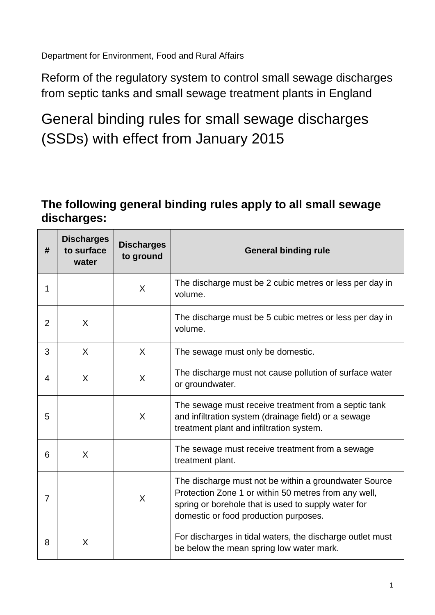Department for Environment, Food and Rural Affairs

Reform of the regulatory system to control small sewage discharges from septic tanks and small sewage treatment plants in England

General binding rules for small sewage discharges (SSDs) with effect from January 2015

## **The following general binding rules apply to all small sewage discharges:**

| #              | <b>Discharges</b><br>to surface<br>water | <b>Discharges</b><br>to ground | <b>General binding rule</b>                                                                                                                                                                                   |
|----------------|------------------------------------------|--------------------------------|---------------------------------------------------------------------------------------------------------------------------------------------------------------------------------------------------------------|
| 1              |                                          | $\sf X$                        | The discharge must be 2 cubic metres or less per day in<br>volume.                                                                                                                                            |
| $\overline{2}$ | X                                        |                                | The discharge must be 5 cubic metres or less per day in<br>volume.                                                                                                                                            |
| 3              | X                                        | X                              | The sewage must only be domestic.                                                                                                                                                                             |
| 4              | X                                        | X                              | The discharge must not cause pollution of surface water<br>or groundwater.                                                                                                                                    |
| 5              |                                          | X                              | The sewage must receive treatment from a septic tank<br>and infiltration system (drainage field) or a sewage<br>treatment plant and infiltration system.                                                      |
| 6              | X                                        |                                | The sewage must receive treatment from a sewage<br>treatment plant.                                                                                                                                           |
| 7              |                                          | $\sf X$                        | The discharge must not be within a groundwater Source<br>Protection Zone 1 or within 50 metres from any well,<br>spring or borehole that is used to supply water for<br>domestic or food production purposes. |
| 8              | X                                        |                                | For discharges in tidal waters, the discharge outlet must<br>be below the mean spring low water mark.                                                                                                         |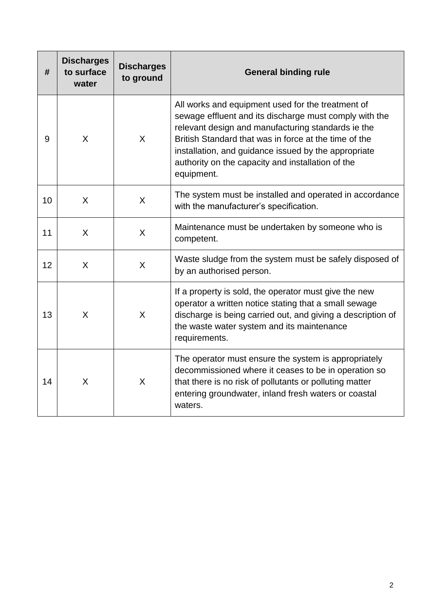| #  | <b>Discharges</b><br>to surface<br>water | <b>Discharges</b><br>to ground | <b>General binding rule</b>                                                                                                                                                                                                                                                                                                                           |
|----|------------------------------------------|--------------------------------|-------------------------------------------------------------------------------------------------------------------------------------------------------------------------------------------------------------------------------------------------------------------------------------------------------------------------------------------------------|
| 9  | X                                        | X                              | All works and equipment used for the treatment of<br>sewage effluent and its discharge must comply with the<br>relevant design and manufacturing standards ie the<br>British Standard that was in force at the time of the<br>installation, and guidance issued by the appropriate<br>authority on the capacity and installation of the<br>equipment. |
| 10 | X                                        | $\sf X$                        | The system must be installed and operated in accordance<br>with the manufacturer's specification.                                                                                                                                                                                                                                                     |
| 11 | X                                        | $\sf X$                        | Maintenance must be undertaken by someone who is<br>competent.                                                                                                                                                                                                                                                                                        |
| 12 | X                                        | $\sf X$                        | Waste sludge from the system must be safely disposed of<br>by an authorised person.                                                                                                                                                                                                                                                                   |
| 13 | X                                        | X                              | If a property is sold, the operator must give the new<br>operator a written notice stating that a small sewage<br>discharge is being carried out, and giving a description of<br>the waste water system and its maintenance<br>requirements.                                                                                                          |
| 14 | X                                        | X                              | The operator must ensure the system is appropriately<br>decommissioned where it ceases to be in operation so<br>that there is no risk of pollutants or polluting matter<br>entering groundwater, inland fresh waters or coastal<br>waters.                                                                                                            |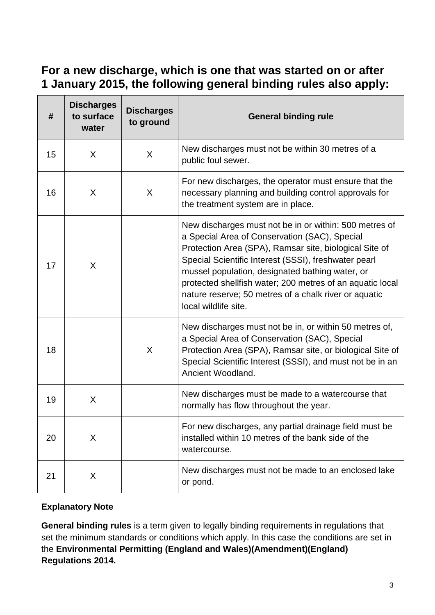## **For a new discharge, which is one that was started on or after 1 January 2015, the following general binding rules also apply:**

| #  | <b>Discharges</b><br>to surface<br>water | <b>Discharges</b><br>to ground | <b>General binding rule</b>                                                                                                                                                                                                                                                                                                                                                                                                |
|----|------------------------------------------|--------------------------------|----------------------------------------------------------------------------------------------------------------------------------------------------------------------------------------------------------------------------------------------------------------------------------------------------------------------------------------------------------------------------------------------------------------------------|
| 15 | X                                        | X                              | New discharges must not be within 30 metres of a<br>public foul sewer.                                                                                                                                                                                                                                                                                                                                                     |
| 16 | X                                        | X                              | For new discharges, the operator must ensure that the<br>necessary planning and building control approvals for<br>the treatment system are in place.                                                                                                                                                                                                                                                                       |
| 17 | X                                        |                                | New discharges must not be in or within: 500 metres of<br>a Special Area of Conservation (SAC), Special<br>Protection Area (SPA), Ramsar site, biological Site of<br>Special Scientific Interest (SSSI), freshwater pearl<br>mussel population, designated bathing water, or<br>protected shellfish water; 200 metres of an aquatic local<br>nature reserve; 50 metres of a chalk river or aquatic<br>local wildlife site. |
| 18 |                                          | X                              | New discharges must not be in, or within 50 metres of,<br>a Special Area of Conservation (SAC), Special<br>Protection Area (SPA), Ramsar site, or biological Site of<br>Special Scientific Interest (SSSI), and must not be in an<br>Ancient Woodland.                                                                                                                                                                     |
| 19 | X                                        |                                | New discharges must be made to a watercourse that<br>normally has flow throughout the year.                                                                                                                                                                                                                                                                                                                                |
| 20 | X                                        |                                | For new discharges, any partial drainage field must be<br>installed within 10 metres of the bank side of the<br>watercourse.                                                                                                                                                                                                                                                                                               |
| 21 | X                                        |                                | New discharges must not be made to an enclosed lake<br>or pond.                                                                                                                                                                                                                                                                                                                                                            |

## **Explanatory Note**

**General binding rules** is a term given to legally binding requirements in regulations that set the minimum standards or conditions which apply. In this case the conditions are set in the **Environmental Permitting (England and Wales)(Amendment)(England) Regulations 2014.**